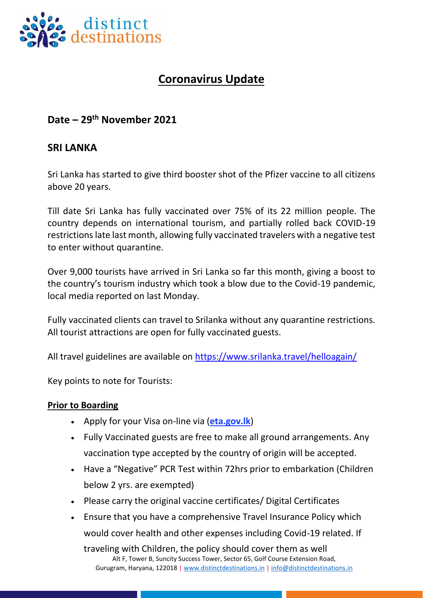

# **Coronavirus Update**

## **Date – 29 th November 2021**

## **SRI LANKA**

Sri Lanka has started to give third booster shot of the Pfizer vaccine to all citizens above 20 years.

Till date Sri Lanka has fully vaccinated over 75% of its 22 million people. The country depends on international tourism, and partially rolled back COVID-19 restrictions late last month, allowing fully vaccinated travelers with a negative test to enter without quarantine.

Over 9,000 tourists have arrived in Sri Lanka so far this month, giving a boost to the country's tourism industry which took a blow due to the Covid-19 pandemic, local media reported on last Monday.

Fully vaccinated clients can travel to Srilanka without any quarantine restrictions. All tourist attractions are open for fully vaccinated guests.

All travel guidelines are available on<https://www.srilanka.travel/helloagain/>

Key points to note for Tourists:

#### **Prior to Boarding**

- Apply for your Visa on-line via (**[eta.gov.lk](http://www.eta.gov.lk/)**)
- Fully Vaccinated guests are free to make all ground arrangements. Any vaccination type accepted by the country of origin will be accepted.
- Have a "Negative" PCR Test within 72hrs prior to embarkation (Children below 2 yrs. are exempted)
- Please carry the original vaccine certificates/ Digital Certificates
- Ensure that you have a comprehensive Travel Insurance Policy which would cover health and other expenses including Covid-19 related. If

Alt F, Tower B, Suncity Success Tower, Sector 65, Golf Course Extension Road, Gurugram, Haryana, 122018 | [www.distinctdestinations.in](http://www.distinctdestinations.in/) | [info@distinctdestinations.in](mailto:info@distinctdestinations.in) traveling with Children, the policy should cover them as well